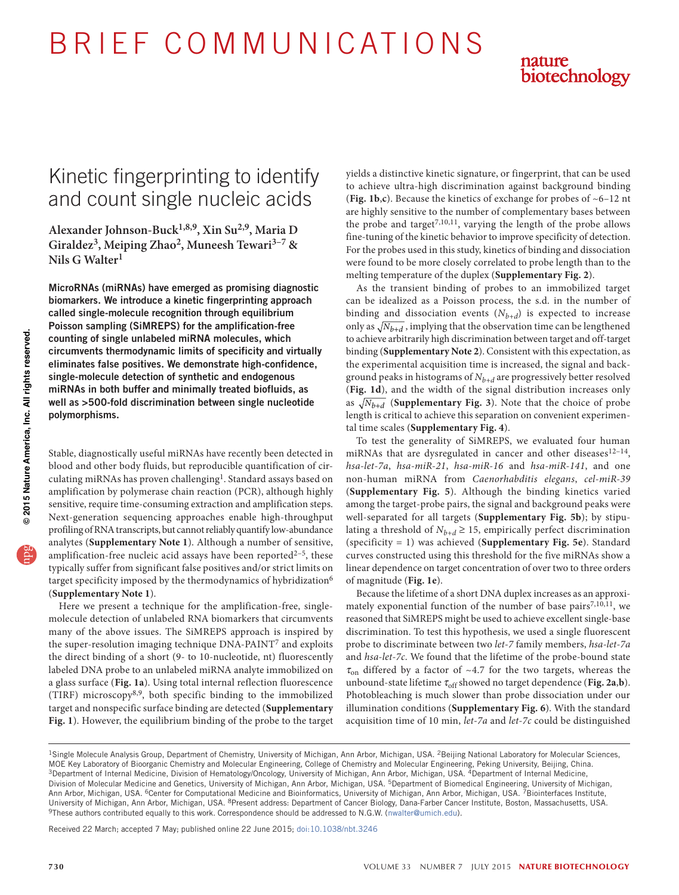# B R I E F C O M M U N I C AT I O N S



## Kinetic fingerprinting to identify and count single nucleic acids

**Alexander Johnson-Buck1,8,9, Xin Su2,9, Maria D**  Giraldez<sup>3</sup>, Meiping Zhao<sup>2</sup>, Muneesh Tewari<sup>3-7</sup> & **Nils G Walter1**

MicroRNAs (miRNAs) have emerged as promising diagnostic biomarkers. We introduce a kinetic fingerprinting approach called single-molecule recognition through equilibrium Poisson sampling (SiMREPS) for the amplification-free counting of single unlabeled miRNA molecules, which circumvents thermodynamic limits of specificity and virtually eliminates false positives. We demonstrate high-confidence, single-molecule detection of synthetic and endogenous miRNAs in both buffer and minimally treated biofluids, as well as >500-fold discrimination between single nucleotide polymorphisms.

Stable, diagnostically useful miRNAs have recently been detected in blood and other body fluids, but reproducible quantification of circulating miRNAs has proven challenging<sup>1</sup>. Standard assays based on amplification by polymerase chain reaction (PCR), although highly sensitive, require time-consuming extraction and amplification steps. Next-generation sequencing approaches enable high-throughput profiling of RNA transcripts, but cannot reliably quantify low-abundance analytes (**Supplementary Note 1**). Although a number of sensitive, amplification-free nucleic acid assays have been reported $2-5$  $2-5$ , these typically suffer from significant false positives and/or strict limits on target specificity imposed by the thermodynamics of hybridizatio[n6](#page-2-3) (**Supplementary Note 1**).

Here we present a technique for the amplification-free, singlemolecule detection of unlabeled RNA biomarkers that circumvents many of the above issues. The SiMREPS approach is inspired by the super-resolution imaging technique DNA-PAINT[7](#page-2-4) and exploits the direct binding of a short (9- to 10-nucleotide, nt) fluorescently labeled DNA probe to an unlabeled miRNA analyte immobilized on a glass surface (**[Fig. 1a](#page-1-0)**). Using total internal reflection fluorescence (TIRF) microscopy[8,](#page-2-5)[9](#page-2-6), both specific binding to the immobilized target and nonspecific surface binding are detected (**Supplementary Fig. 1**). However, the equilibrium binding of the probe to the target yields a distinctive kinetic signature, or fingerprint, that can be used to achieve ultra-high discrimination against background binding (**[Fig. 1b](#page-1-0)**,**c**). Because the kinetics of exchange for probes of ~6–12 nt are highly sensitive to the number of complementary bases between the probe and target<sup>[7,](#page-2-4)[10,](#page-2-7)11</sup>, varying the length of the probe allows fine-tuning of the kinetic behavior to improve specificity of detection. For the probes used in this study, kinetics of binding and dissociation were found to be more closely correlated to probe length than to the melting temperature of the duplex (**Supplementary Fig. 2**).

As the transient binding of probes to an immobilized target can be idealized as a Poisson process, the s.d. in the number of binding and dissociation events (*Nb+d*) is expected to increase only as  $\sqrt{N_{b+d}}$ , implying that the observation time can be lengthened to achieve arbitrarily high discrimination between target and off-target binding (**Supplementary Note 2**). Consistent with this expectation, as the experimental acquisition time is increased, the signal and background peaks in histograms of *Nb+d* are progressively better resolved (**[Fig. 1d](#page-1-0)**), and the width of the signal distribution increases only as  $\sqrt{N_{h+d}}$  (**Supplementary Fig. 3**). Note that the choice of probe length is critical to achieve this separation on convenient experimental time scales (**Supplementary Fig. 4**).

To test the generality of SiMREPS, we evaluated four human miRNAs that are dysregulated in cancer and other diseases $12-14$  $12-14$ , *hsa-let-7a*, *hsa-miR-21*, *hsa-miR-16* and *hsa-miR-141*, and one non-human miRNA from *Caenorhabditis elegans*, *cel-miR-39* (**Supplementary Fig. 5**). Although the binding kinetics varied among the target-probe pairs, the signal and background peaks were well-separated for all targets (**Supplementary Fig. 5b**); by stipulating a threshold of  $N_{b+d} \geq 15$ , empirically perfect discrimination (specificity = 1) was achieved (**Supplementary Fig. 5e**). Standard curves constructed using this threshold for the five miRNAs show a linear dependence on target concentration of over two to three orders of magnitude (**[Fig. 1e](#page-1-0)**).

Because the lifetime of a short DNA duplex increases as an approximately exponential function of the number of base pairs $^{7,10,11}$  $^{7,10,11}$  $^{7,10,11}$  $^{7,10,11}$  $^{7,10,11}$ , we reasoned that SiMREPS might be used to achieve excellent single-base discrimination. To test this hypothesis, we used a single fluorescent probe to discriminate between two *let-7* family members, *hsa-let-7a* and *hsa-let-7c*. We found that the lifetime of the probe-bound state  $\tau_{on}$  differed by a factor of ~4.7 for the two targets, whereas the unbound-state lifetime τ<sub>off</sub> showed no target dependence ([Fig. 2a](#page-1-1),b). Photobleaching is much slower than probe dissociation under our illumination conditions (**Supplementary Fig. 6**). With the standard acquisition time of 10 min, *let-7a* and *let-7c* could be distinguished

Received 22 March; accepted 7 May; published online 22 June 2015; [doi:10.1038/nbt.3246](http://www.nature.com/doifinder/10.1038/nbt.3246)

<sup>&</sup>lt;sup>1</sup>Single Molecule Analysis Group, Department of Chemistry, University of Michigan, Ann Arbor, Michigan, USA. <sup>2</sup>Beijing National Laboratory for Molecular Sciences, MOE Key Laboratory of Bioorganic Chemistry and Molecular Engineering, College of Chemistry and Molecular Engineering, Peking University, Beijing, China.<br><sup>3</sup>Department of Internal Medicine, Division of Hematology/Oncology, Division of Molecular Medicine and Genetics, University of Michigan, Ann Arbor, Michigan, USA. <sup>5</sup>Department of Biomedical Engineering, University of Michigan, Ann Arbor, Michigan, USA. <sup>6</sup>Center for Computational Medicine and Bioinformatics, University of Michigan, Ann Arbor, Michigan, USA. <sup>7</sup>Biointerfaces Institute, University of Michigan, Ann Arbor, Michigan, USA. <sup>8</sup>Present address: Department of Cancer Biology, Dana-Farber Cancer Institute, Boston, Massachusetts, USA.<br><sup>9</sup>These authors contributed equally to this work. Correspondenc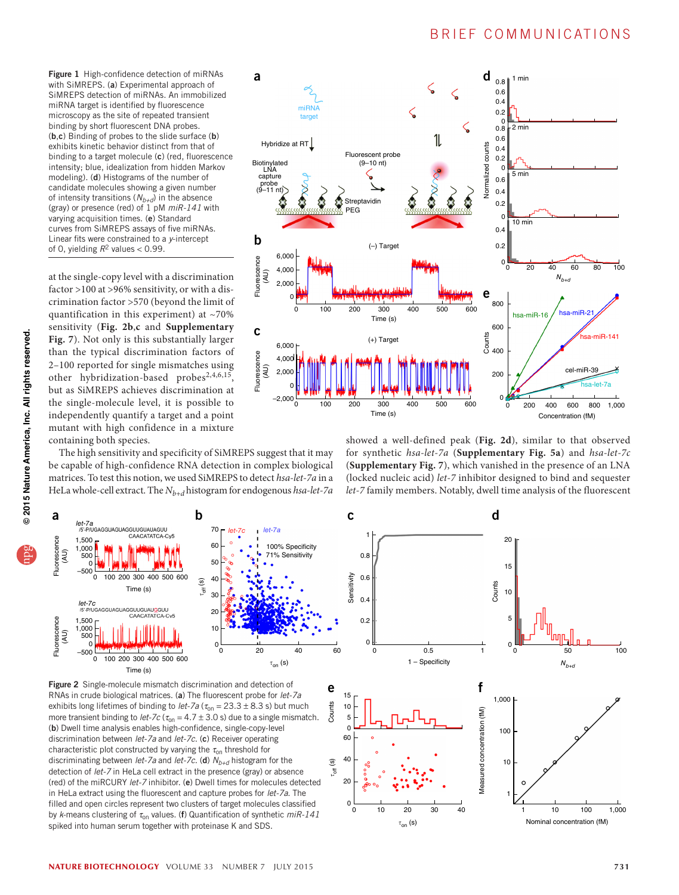<span id="page-1-0"></span>Figure 1 High-confidence detection of miRNAs with SiMREPS. (a) Experimental approach of SiMREPS detection of miRNAs. An immobilized miRNA target is identified by fluorescence microscopy as the site of repeated transient binding by short fluorescent DNA probes. (b,c) Binding of probes to the slide surface (b) exhibits kinetic behavior distinct from that of binding to a target molecule (c) (red, fluorescence intensity; blue, idealization from hidden Markov modeling). (d) Histograms of the number of candidate molecules showing a given number of intensity transitions  $(N_{b+d})$  in the absence (gray) or presence (red) of 1 pM *miR-141* with varying acquisition times. (e) Standard curves from SiMREPS assays of five miRNAs. Linear fits were constrained to a *y*-intercept of 0, yielding  $R^2$  values < 0.99.

at the single-copy level with a discrimination factor >100 at >96% sensitivity, or with a discrimination factor >570 (beyond the limit of quantification in this experiment) at ~70% sensitivity (**[Fig. 2b](#page-1-1)**,**c** and **Supplementary Fig. 7**). Not only is this substantially larger than the typical discrimination factors of 2–100 reported for single mismatches using other hybridization-based probes[2,](#page-2-1)[4,](#page-2-11)[6,](#page-2-3)[15,](#page-2-12) but as SiMREPS achieves discrimination at the single-molecule level, it is possible to independently quantify a target and a point mutant with high confidence in a mixture containing both species.



c

The high sensitivity and specificity of SiMREPS suggest that it may be capable of high-confidence RNA detection in complex biological matrices. To test this notion, we used SiMREPS to detect *hsa-let-7a* in a HeLa whole-cell extract. The *Nb+d* histogram for endogenous *hsa-let-7a*

showed a well-defined peak (**[Fig. 2d](#page-1-1)**), similar to that observed for synthetic *hsa-let-7a* (**Supplementary Fig. 5a**) and *hsa-let-7c* (**Supplementary Fig. 7**), which vanished in the presence of an LNA (locked nucleic acid) *let-7* inhibitor designed to bind and sequester *let-7* family members. Notably, dwell time analysis of the fluorescent

d



<span id="page-1-1"></span>Figure 2 Single-molecule mismatch discrimination and detection of RNAs in crude biological matrices. (a) The fluorescent probe for *let-7a* exhibits long lifetimes of binding to *let-7a* ( $\tau_{on}$  = 23.3 ± 8.3 s) but much more transient binding to *let-7c* ( $\tau_{on} = 4.7 \pm 3.0$  s) due to a single mismatch. (b) Dwell time analysis enables high-confidence, single-copy-level discrimination between *let-7a* and *let-7c*. (c) Receiver operating characteristic plot constructed by varying the  $\tau_{on}$  threshold for discriminating between *let-7a* and *let-7c*. (d)  $N_{b+d}$  histogram for the detection of *let-7* in HeLa cell extract in the presence (gray) or absence (red) of the miRCURY *let-7* inhibitor. (e) Dwell times for molecules detected in HeLa extract using the fluorescent and capture probes for *let-7a*. The filled and open circles represent two clusters of target molecules classified by *k*-means clustering of τ<sub>on</sub> values. (f) Quantification of synthetic  $miR-141$ spiked into human serum together with proteinase K and SDS.

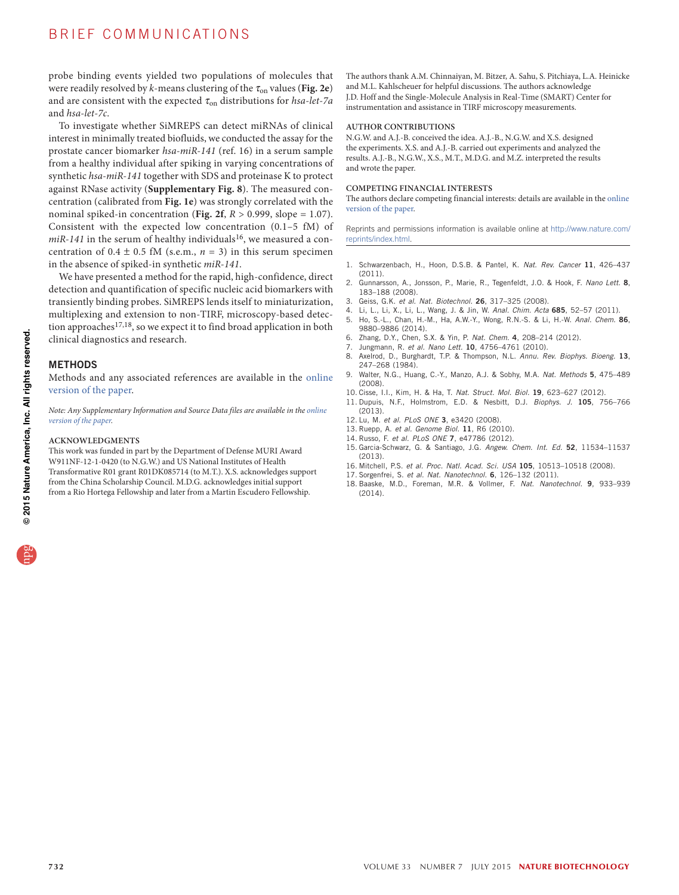### BRIEF COMMUNICATIONS

probe binding events yielded two populations of molecules that were readily resolved by  $k$ -means clustering of the  $\tau_{on}$  values ([Fig. 2e](#page-1-1)) and are consistent with the expected  $\tau_{on}$  distributions for *hsa-let-7a* and *hsa-let-7c*.

To investigate whether SiMREPS can detect miRNAs of clinical interest in minimally treated biofluids, we conducted the assay for the prostate cancer biomarker *hsa-miR-141* (ref. [16\)](#page-2-13) in a serum sample from a healthy individual after spiking in varying concentrations of synthetic *hsa-miR-141* together with SDS and proteinase K to protect against RNase activity (**Supplementary Fig. 8**). The measured concentration (calibrated from **[Fig. 1e](#page-1-0)**) was strongly correlated with the nominal spiked-in concentration (**[Fig. 2f](#page-1-1)**, *R* > 0.999, slope = 1.07). Consistent with the expected low concentration (0.1–5 fM) of  $miR-141$  in the serum of healthy individuals<sup>16</sup>, we measured a concentration of  $0.4 \pm 0.5$  fM (s.e.m.,  $n = 3$ ) in this serum specimen in the absence of spiked-in synthetic *miR-141*.

We have presented a method for the rapid, high-confidence, direct detection and quantification of specific nucleic acid biomarkers with transiently binding probes. SiMREPS lends itself to miniaturization, multiplexing and extension to non-TIRF, microscopy-based detec-tion approaches<sup>[17,](#page-2-14)[18](#page-2-15)</sup>, so we expect it to find broad application in both clinical diagnostics and research.

#### **METHODS**

Methods and any associated references are available in the [online](http://www.nature.com/doifinder/10.1038/nbt.3246) [version](http://www.nature.com/doifinder/10.1038/nbt.3246) of the paper.

*Note: Any Supplementary Information and Source Data files are available in the [online](http://www.nature.com/doifinder/10.1038/nbt.3246) [version](http://www.nature.com/doifinder/10.1038/nbt.3246) of the paper.*

#### **Acknowledgments**

This work was funded in part by the Department of Defense MURI Award W911NF-12-1-0420 (to N.G.W.) and US National Institutes of Health Transformative R01 grant R01DK085714 (to M.T.). X.S. acknowledges support from the China Scholarship Council. M.D.G. acknowledges initial support from a Rio Hortega Fellowship and later from a Martin Escudero Fellowship.

The authors thank A.M. Chinnaiyan, M. Bitzer, A. Sahu, S. Pitchiaya, L.A. Heinicke and M.L. Kahlscheuer for helpful discussions. The authors acknowledge J.D. Hoff and the Single-Molecule Analysis in Real-Time (SMART) Center for instrumentation and assistance in TIRF microscopy measurements.

#### **AUTHOR CONTRIBUTIONS**

N.G.W. and A.J.-B. conceived the idea. A.J.-B., N.G.W. and X.S. designed the experiments. X.S. and A.J.-B. carried out experiments and analyzed the results. A.J.-B., N.G.W., X.S., M.T., M.D.G. and M.Z. interpreted the results and wrote the paper.

#### **COMPETING FINANCIAL INTERESTS**

The authors declare competing financial interests: details are available in the [online](http://www.nature.com/doifinder/10.1038/nbt.3246) [version](http://www.nature.com/doifinder/10.1038/nbt.3246) of the paper.

Reprints and permissions information is available online at [http://www.nature.com/](http://www.nature.com/reprints/index.html) [reprints/index.html.](http://www.nature.com/reprints/index.html)

- <span id="page-2-0"></span>1. Schwarzenbach, H., Hoon, D.S.B. & Pantel, K. *Nat. Rev. Cancer* 11, 426–437 (2011).
- <span id="page-2-1"></span>2. Gunnarsson, A., Jonsson, P., Marie, R., Tegenfeldt, J.O. & Hook, F. *Nano Lett.* 8, 183–188 (2008).
- 3. Geiss, G.K. *et al. Nat. Biotechnol.* 26, 317–325 (2008).
- <span id="page-2-11"></span>4. Li, L., Li, X., Li, L., Wang, J. & Jin, W. *Anal. Chim. Acta* 685, 52–57 (2011).
- <span id="page-2-2"></span>5. Ho, S.-L., Chan, H.-M., Ha, A.W.-Y., Wong, R.N.-S. & Li, H.-W. *Anal. Chem.* 86, 9880–9886 (2014).
- <span id="page-2-3"></span>6. Zhang, D.Y., Chen, S.X. & Yin, P. *Nat. Chem.* 4, 208–214 (2012).
- <span id="page-2-4"></span>7. Jungmann, R. *et al. Nano Lett.* 10, 4756–4761 (2010).
- <span id="page-2-5"></span>8. Axelrod, D., Burghardt, T.P. & Thompson, N.L. *Annu. Rev. Biophys. Bioeng.* 13, 247–268 (1984).
- <span id="page-2-6"></span>9. Walter, N.G., Huang, C.-Y., Manzo, A.J. & Sobhy, M.A. *Nat. Methods* 5, 475–489 (2008).
- <span id="page-2-7"></span>10. Cisse, I.I., Kim, H. & Ha, T. *Nat. Struct. Mol. Biol.* 19, 623–627 (2012).
- <span id="page-2-8"></span>11. Dupuis, N.F., Holmstrom, E.D. & Nesbitt, D.J. *Biophys. J.* 105, 756–766 (2013).
- <span id="page-2-9"></span>12. Lu, M. *et al. PLoS ONE* 3, e3420 (2008).
- 13. Ruepp, A. *et al. Genome Biol.* 11, R6 (2010).
- <span id="page-2-10"></span>14. Russo, F. *et al. PLoS ONE* 7, e47786 (2012).
- <span id="page-2-12"></span>15. Garcia-Schwarz, G. & Santiago, J.G. *Angew. Chem. Int. Ed.* 52, 11534–11537 (2013).
- <span id="page-2-13"></span>16. Mitchell, P.S. *et al. Proc. Natl. Acad. Sci. USA* 105, 10513–10518 (2008).
- <span id="page-2-14"></span>17. Sorgenfrei, S. *et al. Nat. Nanotechnol.* 6, 126–132 (2011).
- <span id="page-2-15"></span>18. Baaske, M.D., Foreman, M.R. & Vollmer, F. *Nat. Nanotechnol.* 9, 933–939 (2014).